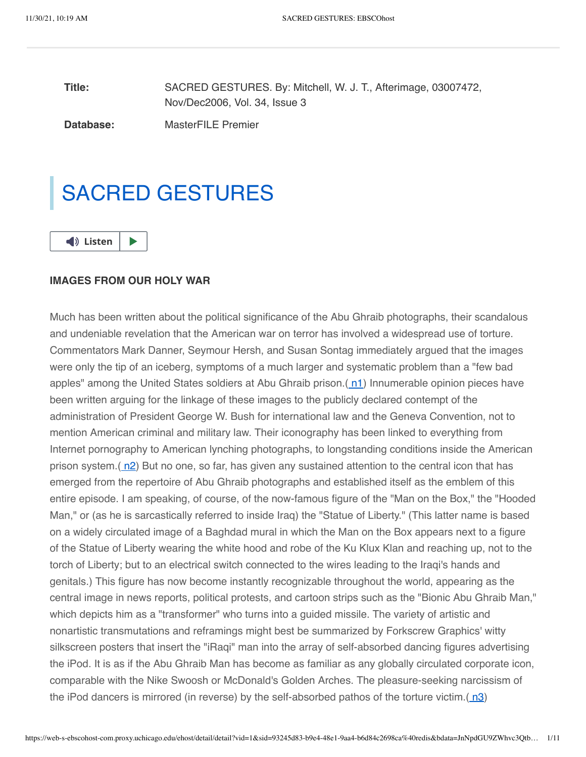**Title: Database:** SACRED GESTURES. By: Mitchell, W. J. T., Afterimage, 03007472, Nov/Dec2006, Vol. 34, Issue 3 MasterFILE Premier

SACRED GESTURES



# **IMAGES FROM OUR HOLY WAR**

Much has been written about the political significance of the Abu Ghraib photographs, their scandalous and undeniable revelation that the American war on terror has involved a widespread use of torture. Commentators Mark Danner, Seymour Hersh, and Susan Sontag immediately argued that the images were only the tip of an iceberg, symptoms of a much larger and systematic problem than a "few bad apples" among the United States soldiers at Abu Ghraib prison.([n1](#page-8-0)) Innumerable opinion pieces have been written arguing for the linkage of these images to the publicly declared contempt of the administration of President George W. Bush for international law and the Geneva Convention, not to mention American criminal and military law. Their iconography has been linked to everything from Internet pornography to American lynching photographs, to longstanding conditions inside the American prison system. $(n2)$  $(n2)$  But no one, so far, has given any sustained attention to the central icon that has emerged from the repertoire of Abu Ghraib photographs and established itself as the emblem of this entire episode. I am speaking, of course, of the now-famous figure of the "Man on the Box," the "Hooded Man," or (as he is sarcastically referred to inside Iraq) the "Statue of Liberty." (This latter name is based on a widely circulated image of a Baghdad mural in which the Man on the Box appears next to a figure of the Statue of Liberty wearing the white hood and robe of the Ku Klux Klan and reaching up, not to the torch of Liberty; but to an electrical switch connected to the wires leading to the Iraqi's hands and genitals.) This figure has now become instantly recognizable throughout the world, appearing as the central image in news reports, political protests, and cartoon strips such as the "Bionic Abu Ghraib Man," which depicts him as a "transformer" who turns into a guided missile. The variety of artistic and nonartistic transmutations and reframings might best be summarized by Forkscrew Graphics' witty silkscreen posters that insert the "iRaqi" man into the array of self-absorbed dancing figures advertising the iPod. It is as if the Abu Ghraib Man has become as familiar as any globally circulated corporate icon, comparable with the Nike Swoosh or McDonald's Golden Arches. The pleasure-seeking narcissism of the iPod dancers is mirrored (in reverse) by the self-absorbed pathos of the torture victim. $(n3)$  $(n3)$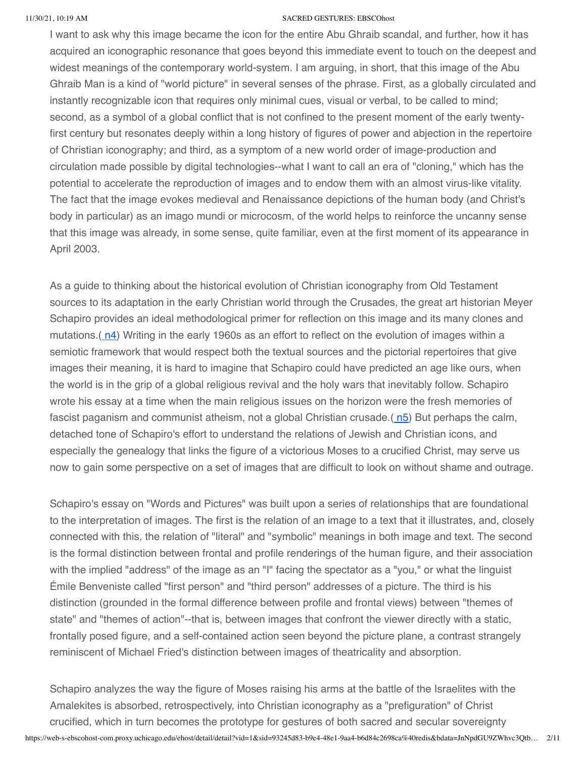I want to ask why this image became the icon for the entire Abu Ghraib scandal, and further, how it has acquired an iconographic resonance that goes beyond this immediate event to touch on the deepest and widest meanings of the contemporary world-system. I am arguing, in short, that this image of the Abu Ghraib Man is a kind of "world picture" in several senses of the phrase. First, as a globally circulated and instantly recognizable icon that requires only minimal cues, visual or verbal, to be called to mind; second, as a symbol of a global conflict that is not confined to the present moment of the early twentyfirst century but resonates deeply within a long history of figures of power and abjection in the repertoire of Christian iconography; and third, as a symptom of a new world order of image-production and circulation made possible by digital technologies--what I want to call an era of "cloning," which has the potential to accelerate the reproduction of images and to endow them with an almost virus-like vitality. The fact that the image evokes medieval and Renaissance depictions of the human body (and Christ's body in particular) as an imago mundi or microcosm, of the world helps to reinforce the uncanny sense that this image was already, in some sense, quite familiar, even at the first moment of its appearance in April 2003.

As a guide to thinking about the historical evolution of Christian iconography from Old Testament sources to its adaptation in the early Christian world through the Crusades, the great art historian Meyer Schapiro provides an ideal methodological primer for reflection on this image and its many clones and mutations.( $n4$ ) Writing in the early 1960s as an effort to reflect on the evolution of images within a semiotic framework that would respect both the textual sources and the pictorial repertoires that give images their meaning, it is hard to imagine that Schapiro could have predicted an age like ours, when the world is in the grip of a global religious revival and the holy wars that inevitably follow. Schapiro wrote his essay at a time when the main religious issues on the horizon were the fresh memories of fascist paganism and communist atheism, not a global Christian crusade.( $n5$ ) But perhaps the calm, detached tone of Schapiro's effort to understand the relations of Jewish and Christian icons, and especially the genealogy that links the figure of a victorious Moses to a crucified Christ, may serve us now to gain some perspective on a set of images that are difficult to look on without shame and outrage.

Schapiro's essay on "Words and Pictures" was built upon a series of relationships that are foundational to the interpretation of images. The first is the relation of an image to a text that it illustrates, and, closely connected with this, the relation of "literal" and "symbolic" meanings in both image and text. The second is the formal distinction between frontal and profile renderings of the human figure, and their association with the implied "address" of the image as an "I" facing the spectator as a "you," or what the linguist Émile Benveniste called "first person" and "third person" addresses of a picture. The third is his distinction (grounded in the formal difference between profile and frontal views) between "themes of state" and "themes of action"--that is, between images that confront the viewer directly with a static, frontally posed figure, and a self-contained action seen beyond the picture plane, a contrast strangely reminiscent of Michael Fried's distinction between images of theatricality and absorption.

https://web-s-ebscohost-com.proxy.uchicago.edu/ehost/detail/detail?vid=1&sid=93245d83-b9e4-48e1-9aa4-b6d84c2698ca%40redis&bdata=JnNpdGU9ZWhvc3Qtb… 2/11 Schapiro analyzes the way the figure of Moses raising his arms at the battle of the Israelites with the Amalekites is absorbed, retrospectively, into Christian iconography as a "prefiguration" of Christ crucified, which in turn becomes the prototype for gestures of both sacred and secular sovereignty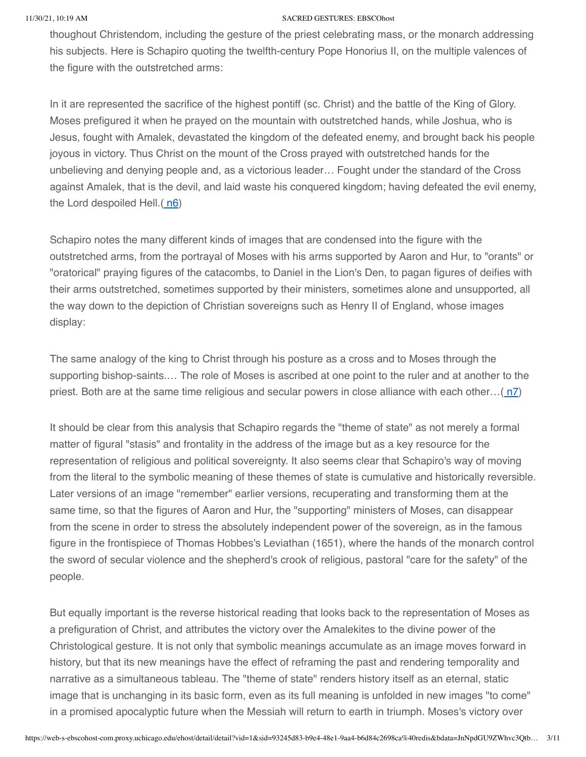thoughout Christendom, including the gesture of the priest celebrating mass, or the monarch addressing his subjects. Here is Schapiro quoting the twelfth-century Pope Honorius II, on the multiple valences of the figure with the outstretched arms:

In it are represented the sacrifice of the highest pontiff (sc. Christ) and the battle of the King of Glory. Moses prefigured it when he prayed on the mountain with outstretched hands, while Joshua, who is Jesus, fought with Amalek, devastated the kingdom of the defeated enemy, and brought back his people joyous in victory. Thus Christ on the mount of the Cross prayed with outstretched hands for the unbelieving and denying people and, as a victorious leader… Fought under the standard of the Cross against Amalek, that is the devil, and laid waste his conquered kingdom; having defeated the evil enemy, the Lord despoiled Hell. $(n6)$  $(n6)$  $(n6)$ 

Schapiro notes the many different kinds of images that are condensed into the figure with the outstretched arms, from the portrayal of Moses with his arms supported by Aaron and Hur, to "orants" or "oratorical" praying figures of the catacombs, to Daniel in the Lion's Den, to pagan figures of deifies with their arms outstretched, sometimes supported by their ministers, sometimes alone and unsupported, all the way down to the depiction of Christian sovereigns such as Henry II of England, whose images display:

The same analogy of the king to Christ through his posture as a cross and to Moses through the supporting bishop-saints.… The role of Moses is ascribed at one point to the ruler and at another to the priest. Both are at the same time religious and secular powers in close alliance with each other... $(n7)$  $(n7)$ 

It should be clear from this analysis that Schapiro regards the "theme of state" as not merely a formal matter of figural "stasis" and frontality in the address of the image but as a key resource for the representation of religious and political sovereignty. It also seems clear that Schapiro's way of moving from the literal to the symbolic meaning of these themes of state is cumulative and historically reversible. Later versions of an image "remember" earlier versions, recuperating and transforming them at the same time, so that the figures of Aaron and Hur, the "supporting" ministers of Moses, can disappear from the scene in order to stress the absolutely independent power of the sovereign, as in the famous figure in the frontispiece of Thomas Hobbes's Leviathan (1651), where the hands of the monarch control the sword of secular violence and the shepherd's crook of religious, pastoral "care for the safety" of the people.

But equally important is the reverse historical reading that looks back to the representation of Moses as a prefiguration of Christ, and attributes the victory over the Amalekites to the divine power of the Christological gesture. It is not only that symbolic meanings accumulate as an image moves forward in history, but that its new meanings have the effect of reframing the past and rendering temporality and narrative as a simultaneous tableau. The "theme of state" renders history itself as an eternal, static image that is unchanging in its basic form, even as its full meaning is unfolded in new images "to come" in a promised apocalyptic future when the Messiah will return to earth in triumph. Moses's victory over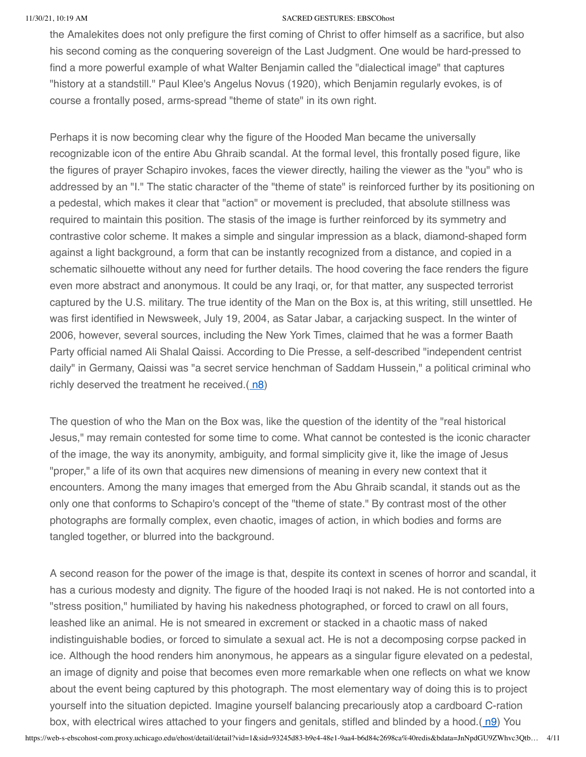the Amalekites does not only prefigure the first coming of Christ to offer himself as a sacrifice, but also his second coming as the conquering sovereign of the Last Judgment. One would be hard-pressed to find a more powerful example of what Walter Benjamin called the "dialectical image" that captures "history at a standstill." Paul Klee's Angelus Novus (1920), which Benjamin regularly evokes, is of course a frontally posed, arms-spread "theme of state" in its own right.

Perhaps it is now becoming clear why the figure of the Hooded Man became the universally recognizable icon of the entire Abu Ghraib scandal. At the formal level, this frontally posed figure, like the figures of prayer Schapiro invokes, faces the viewer directly, hailing the viewer as the "you" who is addressed by an "I." The static character of the "theme of state" is reinforced further by its positioning on a pedestal, which makes it clear that "action" or movement is precluded, that absolute stillness was required to maintain this position. The stasis of the image is further reinforced by its symmetry and contrastive color scheme. It makes a simple and singular impression as a black, diamond-shaped form against a light background, a form that can be instantly recognized from a distance, and copied in a schematic silhouette without any need for further details. The hood covering the face renders the figure even more abstract and anonymous. It could be any Iraqi, or, for that matter, any suspected terrorist captured by the U.S. military. The true identity of the Man on the Box is, at this writing, still unsettled. He was first identified in Newsweek, July 19, 2004, as Satar Jabar, a carjacking suspect. In the winter of 2006, however, several sources, including the New York Times, claimed that he was a former Baath Party official named Ali Shalal Qaissi. According to Die Presse, a self-described "independent centrist daily" in Germany, Qaissi was "a secret service henchman of Saddam Hussein," a political criminal who richly deserved the treatment he received. $(n8)$  $(n8)$ 

The question of who the Man on the Box was, like the question of the identity of the "real historical Jesus," may remain contested for some time to come. What cannot be contested is the iconic character of the image, the way its anonymity, ambiguity, and formal simplicity give it, like the image of Jesus "proper," a life of its own that acquires new dimensions of meaning in every new context that it encounters. Among the many images that emerged from the Abu Ghraib scandal, it stands out as the only one that conforms to Schapiro's concept of the "theme of state." By contrast most of the other photographs are formally complex, even chaotic, images of action, in which bodies and forms are tangled together, or blurred into the background.

https://web-s-ebscohost-com.proxy.uchicago.edu/ehost/detail/detail?vid=1&sid=93245d83-b9e4-48e1-9aa4-b6d84c2698ca%40redis&bdata=JnNpdGU9ZWhvc3Qtb… 4/11 A second reason for the power of the image is that, despite its context in scenes of horror and scandal, it has a curious modesty and dignity. The figure of the hooded Iraqi is not naked. He is not contorted into a "stress position," humiliated by having his nakedness photographed, or forced to crawl on all fours, leashed like an animal. He is not smeared in excrement or stacked in a chaotic mass of naked indistinguishable bodies, or forced to simulate a sexual act. He is not a decomposing corpse packed in ice. Although the hood renders him anonymous, he appears as a singular figure elevated on a pedestal, an image of dignity and poise that becomes even more remarkable when one reflects on what we know about the event being captured by this photograph. The most elementary way of doing this is to project yourself into the situation depicted. Imagine yourself balancing precariously atop a cardboard C-ration box, with electrical wires attached to your fingers and genitals, stifled and blinded by a hood.( [n9\)](#page-9-0) You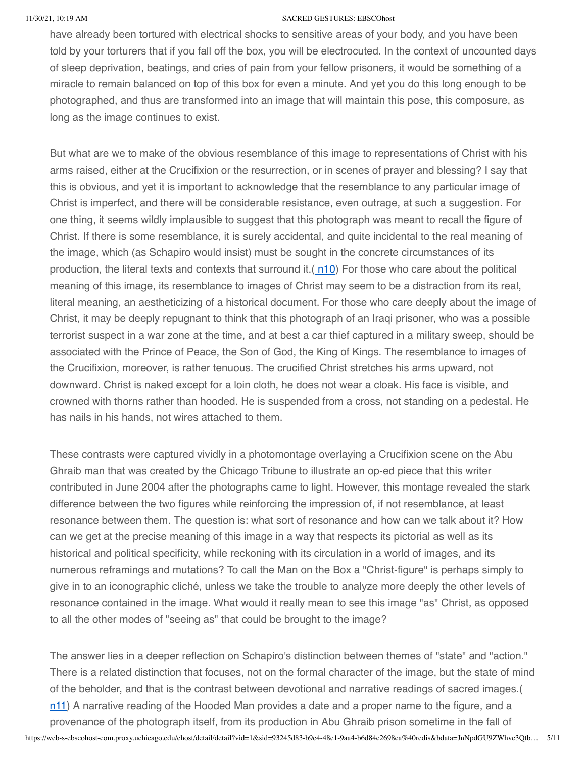have already been tortured with electrical shocks to sensitive areas of your body, and you have been told by your torturers that if you fall off the box, you will be electrocuted. In the context of uncounted days of sleep deprivation, beatings, and cries of pain from your fellow prisoners, it would be something of a miracle to remain balanced on top of this box for even a minute. And yet you do this long enough to be photographed, and thus are transformed into an image that will maintain this pose, this composure, as long as the image continues to exist.

But what are we to make of the obvious resemblance of this image to representations of Christ with his arms raised, either at the Crucifixion or the resurrection, or in scenes of prayer and blessing? I say that this is obvious, and yet it is important to acknowledge that the resemblance to any particular image of Christ is imperfect, and there will be considerable resistance, even outrage, at such a suggestion. For one thing, it seems wildly implausible to suggest that this photograph was meant to recall the figure of Christ. If there is some resemblance, it is surely accidental, and quite incidental to the real meaning of the image, which (as Schapiro would insist) must be sought in the concrete circumstances of its production, the literal texts and contexts that surround it. $(n10)$  $(n10)$  For those who care about the political meaning of this image, its resemblance to images of Christ may seem to be a distraction from its real, literal meaning, an aestheticizing of a historical document. For those who care deeply about the image of Christ, it may be deeply repugnant to think that this photograph of an Iraqi prisoner, who was a possible terrorist suspect in a war zone at the time, and at best a car thief captured in a military sweep, should be associated with the Prince of Peace, the Son of God, the King of Kings. The resemblance to images of the Crucifixion, moreover, is rather tenuous. The crucified Christ stretches his arms upward, not downward. Christ is naked except for a loin cloth, he does not wear a cloak. His face is visible, and crowned with thorns rather than hooded. He is suspended from a cross, not standing on a pedestal. He has nails in his hands, not wires attached to them.

These contrasts were captured vividly in a photomontage overlaying a Crucifixion scene on the Abu Ghraib man that was created by the Chicago Tribune to illustrate an op-ed piece that this writer contributed in June 2004 after the photographs came to light. However, this montage revealed the stark difference between the two figures while reinforcing the impression of, if not resemblance, at least resonance between them. The question is: what sort of resonance and how can we talk about it? How can we get at the precise meaning of this image in a way that respects its pictorial as well as its historical and political specificity, while reckoning with its circulation in a world of images, and its numerous reframings and mutations? To call the Man on the Box a "Christ-figure" is perhaps simply to give in to an iconographic cliché, unless we take the trouble to analyze more deeply the other levels of resonance contained in the image. What would it really mean to see this image "as" Christ, as opposed to all the other modes of "seeing as" that could be brought to the image?

The answer lies in a deeper reflection on Schapiro's distinction between themes of "state" and "action." There is a related distinction that focuses, not on the formal character of the image, but the state of mind of the beholder, and that is the contrast between devotional and narrative readings of sacred images.( [n11](#page-9-2)) A narrative reading of the Hooded Man provides a date and a proper name to the figure, and a provenance of the photograph itself, from its production in Abu Ghraib prison sometime in the fall of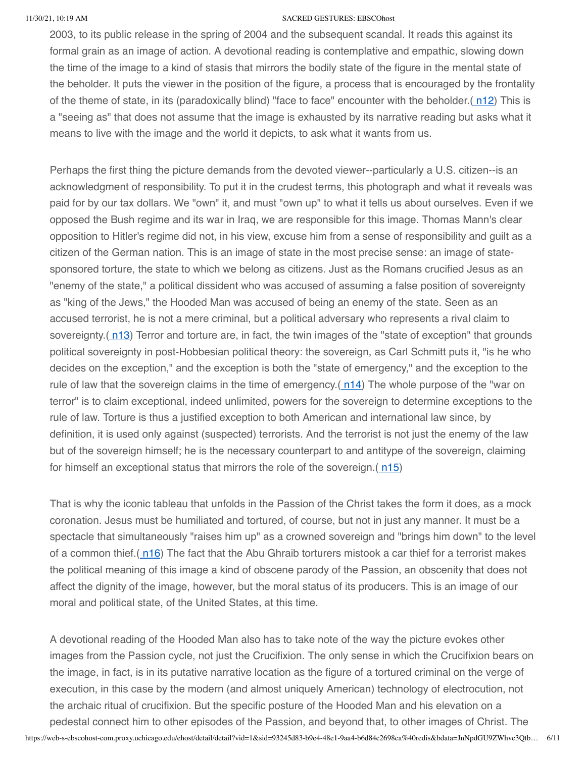2003, to its public release in the spring of 2004 and the subsequent scandal. It reads this against its formal grain as an image of action. A devotional reading is contemplative and empathic, slowing down the time of the image to a kind of stasis that mirrors the bodily state of the figure in the mental state of the beholder. It puts the viewer in the position of the figure, a process that is encouraged by the frontality of the theme of state, in its (paradoxically blind) "face to face" encounter with the beholder.( [n12](#page-9-3)) This is a "seeing as" that does not assume that the image is exhausted by its narrative reading but asks what it means to live with the image and the world it depicts, to ask what it wants from us.

Perhaps the first thing the picture demands from the devoted viewer--particularly a U.S. citizen--is an acknowledgment of responsibility. To put it in the crudest terms, this photograph and what it reveals was paid for by our tax dollars. We "own" it, and must "own up" to what it tells us about ourselves. Even if we opposed the Bush regime and its war in Iraq, we are responsible for this image. Thomas Mann's clear opposition to Hitler's regime did not, in his view, excuse him from a sense of responsibility and guilt as a citizen of the German nation. This is an image of state in the most precise sense: an image of statesponsored torture, the state to which we belong as citizens. Just as the Romans crucified Jesus as an "enemy of the state," a political dissident who was accused of assuming a false position of sovereignty as "king of the Jews," the Hooded Man was accused of being an enemy of the state. Seen as an accused terrorist, he is not a mere criminal, but a political adversary who represents a rival claim to sovereignty. $(n13)$  $(n13)$  $(n13)$  Terror and torture are, in fact, the twin images of the "state of exception" that grounds political sovereignty in post-Hobbesian political theory: the sovereign, as Carl Schmitt puts it, "is he who decides on the exception," and the exception is both the "state of emergency," and the exception to the rule of law that the sovereign claims in the time of emergency.  $(n14)$  $(n14)$  The whole purpose of the "war on terror" is to claim exceptional, indeed unlimited, powers for the sovereign to determine exceptions to the rule of law. Torture is thus a justified exception to both American and international law since, by definition, it is used only against (suspected) terrorists. And the terrorist is not just the enemy of the law but of the sovereign himself; he is the necessary counterpart to and antitype of the sovereign, claiming for himself an exceptional status that mirrors the role of the sovereign. $(n15)$  $(n15)$  $(n15)$ 

That is why the iconic tableau that unfolds in the Passion of the Christ takes the form it does, as a mock coronation. Jesus must be humiliated and tortured, of course, but not in just any manner. It must be a spectacle that simultaneously "raises him up" as a crowned sovereign and "brings him down" to the level of a common thief.( $n16$ ) The fact that the Abu Ghraib torturers mistook a car thief for a terrorist makes the political meaning of this image a kind of obscene parody of the Passion, an obscenity that does not affect the dignity of the image, however, but the moral status of its producers. This is an image of our moral and political state, of the United States, at this time.

A devotional reading of the Hooded Man also has to take note of the way the picture evokes other images from the Passion cycle, not just the Crucifixion. The only sense in which the Crucifixion bears on the image, in fact, is in its putative narrative location as the figure of a tortured criminal on the verge of execution, in this case by the modern (and almost uniquely American) technology of electrocution, not the archaic ritual of crucifixion. But the specific posture of the Hooded Man and his elevation on a pedestal connect him to other episodes of the Passion, and beyond that, to other images of Christ. The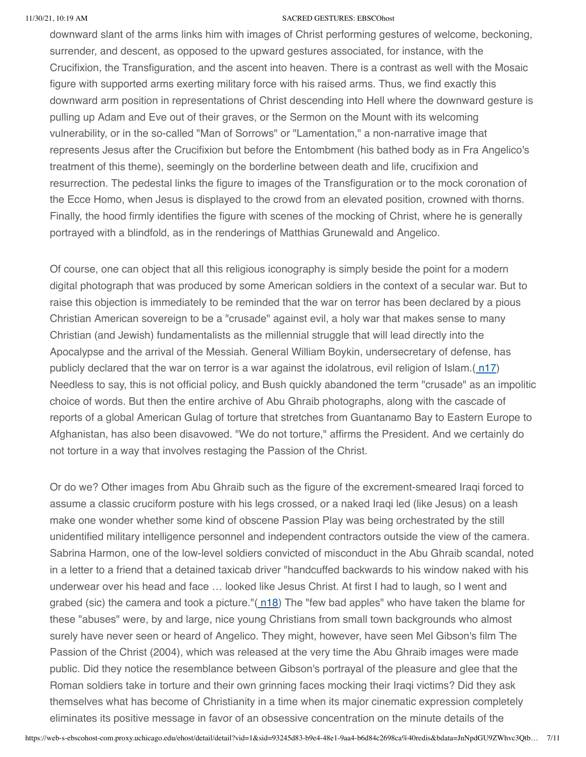downward slant of the arms links him with images of Christ performing gestures of welcome, beckoning, surrender, and descent, as opposed to the upward gestures associated, for instance, with the Crucifixion, the Transfiguration, and the ascent into heaven. There is a contrast as well with the Mosaic figure with supported arms exerting military force with his raised arms. Thus, we find exactly this downward arm position in representations of Christ descending into Hell where the downward gesture is pulling up Adam and Eve out of their graves, or the Sermon on the Mount with its welcoming vulnerability, or in the so-called "Man of Sorrows" or "Lamentation," a non-narrative image that represents Jesus after the Crucifixion but before the Entombment (his bathed body as in Fra Angelico's treatment of this theme), seemingly on the borderline between death and life, crucifixion and resurrection. The pedestal links the figure to images of the Transfiguration or to the mock coronation of the Ecce Homo, when Jesus is displayed to the crowd from an elevated position, crowned with thorns. Finally, the hood firmly identifies the figure with scenes of the mocking of Christ, where he is generally portrayed with a blindfold, as in the renderings of Matthias Grunewald and Angelico.

Of course, one can object that all this religious iconography is simply beside the point for a modern digital photograph that was produced by some American soldiers in the context of a secular war. But to raise this objection is immediately to be reminded that the war on terror has been declared by a pious Christian American sovereign to be a "crusade" against evil, a holy war that makes sense to many Christian (and Jewish) fundamentalists as the millennial struggle that will lead directly into the Apocalypse and the arrival of the Messiah. General William Boykin, undersecretary of defense, has publicly declared that the war on terror is a war against the idolatrous, evil religion of Islam. $(n17)$  $(n17)$ Needless to say, this is not official policy, and Bush quickly abandoned the term "crusade" as an impolitic choice of words. But then the entire archive of Abu Ghraib photographs, along with the cascade of reports of a global American Gulag of torture that stretches from Guantanamo Bay to Eastern Europe to Afghanistan, has also been disavowed. "We do not torture," affirms the President. And we certainly do not torture in a way that involves restaging the Passion of the Christ.

Or do we? Other images from Abu Ghraib such as the figure of the excrement-smeared Iraqi forced to assume a classic cruciform posture with his legs crossed, or a naked Iraqi led (like Jesus) on a leash make one wonder whether some kind of obscene Passion Play was being orchestrated by the still unidentified military intelligence personnel and independent contractors outside the view of the camera. Sabrina Harmon, one of the low-level soldiers convicted of misconduct in the Abu Ghraib scandal, noted in a letter to a friend that a detained taxicab driver "handcuffed backwards to his window naked with his underwear over his head and face … looked like Jesus Christ. At first I had to laugh, so I went and grabed (sic) the camera and took a picture."( [n18\)](#page-9-9) The "few bad apples" who have taken the blame for these "abuses" were, by and large, nice young Christians from small town backgrounds who almost surely have never seen or heard of Angelico. They might, however, have seen Mel Gibson's film The Passion of the Christ (2004), which was released at the very time the Abu Ghraib images were made public. Did they notice the resemblance between Gibson's portrayal of the pleasure and glee that the Roman soldiers take in torture and their own grinning faces mocking their Iraqi victims? Did they ask themselves what has become of Christianity in a time when its major cinematic expression completely eliminates its positive message in favor of an obsessive concentration on the minute details of the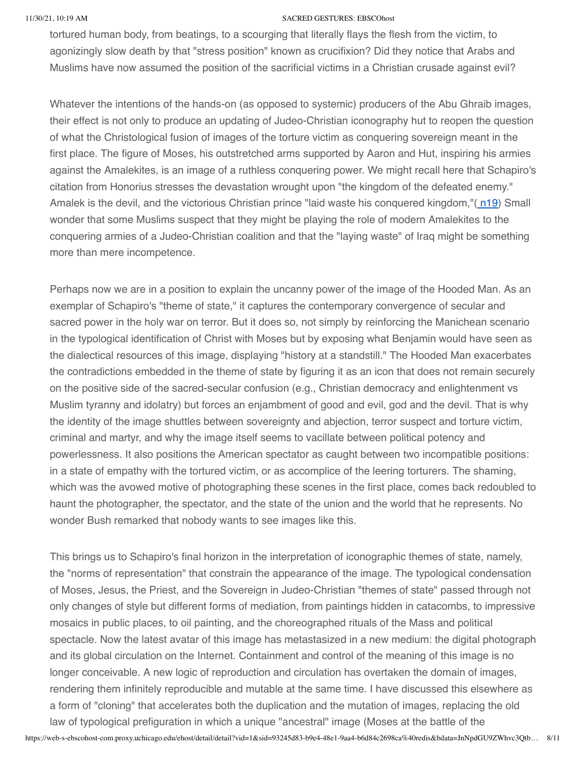tortured human body, from beatings, to a scourging that literally flays the flesh from the victim, to agonizingly slow death by that "stress position" known as crucifixion? Did they notice that Arabs and Muslims have now assumed the position of the sacrificial victims in a Christian crusade against evil?

Whatever the intentions of the hands-on (as opposed to systemic) producers of the Abu Ghraib images, their effect is not only to produce an updating of Judeo-Christian iconography hut to reopen the question of what the Christological fusion of images of the torture victim as conquering sovereign meant in the first place. The figure of Moses, his outstretched arms supported by Aaron and Hut, inspiring his armies against the Amalekites, is an image of a ruthless conquering power. We might recall here that Schapiro's citation from Honorius stresses the devastation wrought upon "the kingdom of the defeated enemy." Amalek is the devil, and the victorious Christian prince "laid waste his conquered kingdom,"([n19](#page-9-10)) Small wonder that some Muslims suspect that they might be playing the role of modern Amalekites to the conquering armies of a Judeo-Christian coalition and that the "laying waste" of Iraq might be something more than mere incompetence.

Perhaps now we are in a position to explain the uncanny power of the image of the Hooded Man. As an exemplar of Schapiro's "theme of state," it captures the contemporary convergence of secular and sacred power in the holy war on terror. But it does so, not simply by reinforcing the Manichean scenario in the typological identification of Christ with Moses but by exposing what Benjamin would have seen as the dialectical resources of this image, displaying "history at a standstill." The Hooded Man exacerbates the contradictions embedded in the theme of state by figuring it as an icon that does not remain securely on the positive side of the sacred-secular confusion (e.g., Christian democracy and enlightenment vs Muslim tyranny and idolatry) but forces an enjambment of good and evil, god and the devil. That is why the identity of the image shuttles between sovereignty and abjection, terror suspect and torture victim, criminal and martyr, and why the image itself seems to vacillate between political potency and powerlessness. It also positions the American spectator as caught between two incompatible positions: in a state of empathy with the tortured victim, or as accomplice of the leering torturers. The shaming, which was the avowed motive of photographing these scenes in the first place, comes back redoubled to haunt the photographer, the spectator, and the state of the union and the world that he represents. No wonder Bush remarked that nobody wants to see images like this.

This brings us to Schapiro's final horizon in the interpretation of iconographic themes of state, namely, the "norms of representation" that constrain the appearance of the image. The typological condensation of Moses, Jesus, the Priest, and the Sovereign in Judeo-Christian "themes of state" passed through not only changes of style but different forms of mediation, from paintings hidden in catacombs, to impressive mosaics in public places, to oil painting, and the choreographed rituals of the Mass and political spectacle. Now the latest avatar of this image has metastasized in a new medium: the digital photograph and its global circulation on the Internet. Containment and control of the meaning of this image is no longer conceivable. A new logic of reproduction and circulation has overtaken the domain of images, rendering them infinitely reproducible and mutable at the same time. I have discussed this elsewhere as a form of "cloning" that accelerates both the duplication and the mutation of images, replacing the old law of typological prefiguration in which a unique "ancestral" image (Moses at the battle of the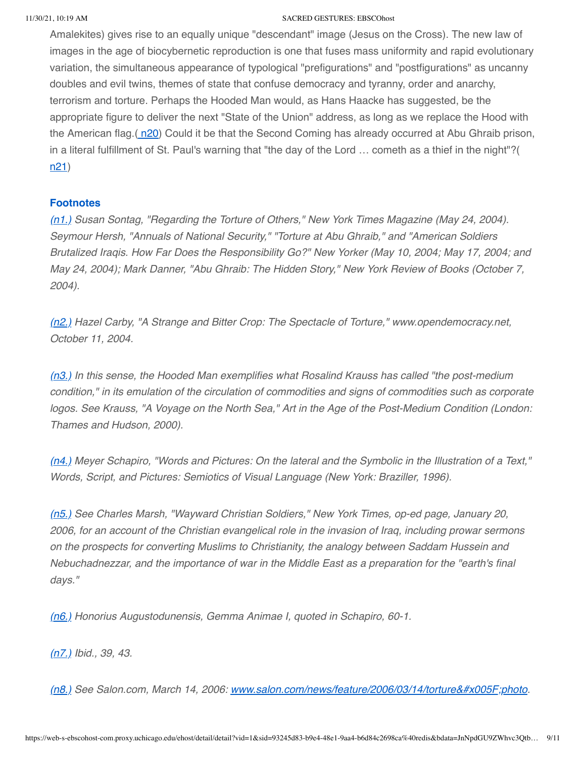Amalekites) gives rise to an equally unique "descendant" image (Jesus on the Cross). The new law of images in the age of biocybernetic reproduction is one that fuses mass uniformity and rapid evolutionary variation, the simultaneous appearance of typological "prefigurations" and "postfigurations" as uncanny doubles and evil twins, themes of state that confuse democracy and tyranny, order and anarchy, terrorism and torture. Perhaps the Hooded Man would, as Hans Haacke has suggested, be the appropriate figure to deliver the next "State of the Union" address, as long as we replace the Hood with the American flag.( [n20\)](#page-9-11) Could it be that the Second Coming has already occurred at Abu Ghraib prison, in a literal fulfillment of St. Paul's warning that "the day of the Lord … cometh as a thief in the night"?( [n21](#page-9-12))

# **Footnotes**

<span id="page-8-0"></span>(n1.) Susan Sontag, "Regarding the Torture of Others," New York Times Magazine (May 24, 2004). Seymour Hersh, "Annuals of National Security," "Torture at Abu Ghraib," and "American Soldiers Brutalized Iraqis. How Far Does the Responsibility Go?" New Yorker (May 10, 2004; May 17, 2004; and May 24, 2004); Mark Danner, "Abu Ghraib: The Hidden Story," New York Review of Books (October 7, 2004).

<span id="page-8-1"></span>(n2.) Hazel Carby, "A Strange and Bitter Crop: The Spectacle of Torture," www.opendemocracy.net, October 11, 2004.

<span id="page-8-2"></span>(n3.) In this sense, the Hooded Man exemplifies what Rosalind Krauss has called "the post-medium" condition," in its emulation of the circulation of commodities and signs of commodities such as corporate logos. See Krauss, "A Voyage on the North Sea," Art in the Age of the Post-Medium Condition (London: Thames and Hudson, 2000).

<span id="page-8-3"></span>(n4.) Meyer Schapiro, "Words and Pictures: On the lateral and the Symbolic in the Illustration of a Text," Words, Script, and Pictures: Semiotics of Visual Language (New York: Braziller, 1996).

<span id="page-8-4"></span>(n5.) See Charles Marsh, "Wayward Christian Soldiers," New York Times, op-ed page, January 20, 2006, for an account of the Christian evangelical role in the invasion of Iraq, including prowar sermons on the prospects for converting Muslims to Christianity, the analogy between Saddam Hussein and Nebuchadnezzar, and the importance of war in the Middle East as a preparation for the "earth's final days."

<span id="page-8-5"></span>(n6.) Honorius Augustodunensis, Gemma Animae I, quoted in Schapiro, 60-1.

<span id="page-8-6"></span>(n7.) Ibid., 39, 43.

<span id="page-8-7"></span>(n8.) See Salon.com, March 14, 2006: [www.salon.com/news/feature/2006/03/14/torture\\_photo](http://www.salon.com/news/feature/2006/03/14/torture_photo).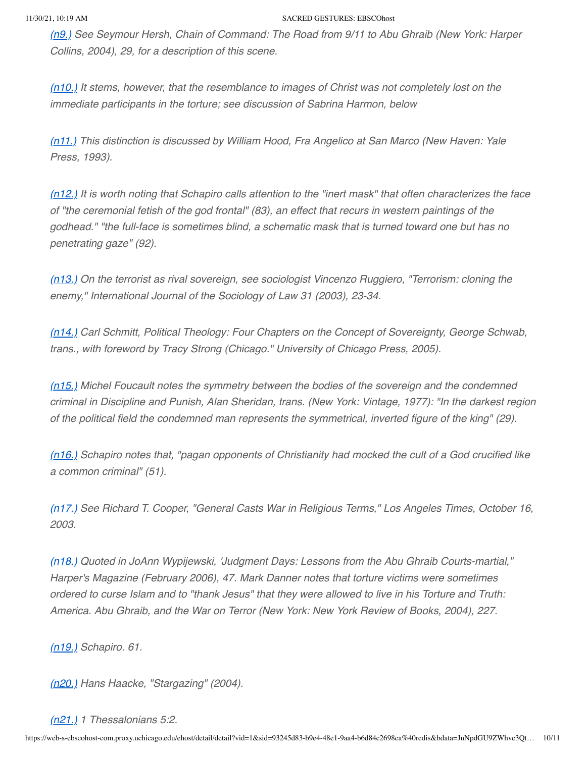<span id="page-9-0"></span>(n9.) See Seymour Hersh, Chain of Command: The Road from 9/11 to Abu Ghraib (New York: Harper Collins, 2004), 29, for a description of this scene.

<span id="page-9-1"></span> $(n10)$  It stems, however, that the resemblance to images of Christ was not completely lost on the immediate participants in the torture; see discussion of Sabrina Harmon, below

<span id="page-9-2"></span>(n11.) This distinction is discussed by William Hood, Fra Angelico at San Marco (New Haven: Yale Press, 1993).

<span id="page-9-3"></span> $(n12)$  It is worth noting that Schapiro calls attention to the "inert mask" that often characterizes the face of "the ceremonial fetish of the god frontal" (83), an effect that recurs in western paintings of the godhead." "the full-face is sometimes blind, a schematic mask that is turned toward one but has no penetrating gaze" (92).

<span id="page-9-4"></span>(n13.) On the terrorist as rival sovereign, see sociologist Vincenzo Ruggiero, "Terrorism: cloning the enemy," International Journal of the Sociology of Law 31 (2003), 23-34.

<span id="page-9-5"></span>(n14.) Carl Schmitt, Political Theology: Four Chapters on the Concept of Sovereignty, George Schwab, trans., with foreword by Tracy Strong (Chicago." University of Chicago Press, 2005).

<span id="page-9-6"></span> $(n15)$ . Michel Foucault notes the symmetry between the bodies of the sovereign and the condemned criminal in Discipline and Punish, Alan Sheridan, trans. (New York: Vintage, 1977): "In the darkest region of the political field the condemned man represents the symmetrical, inverted figure of the king" (29).

<span id="page-9-7"></span>(n16.) Schapiro notes that, "pagan opponents of Christianity had mocked the cult of a God crucified like a common criminal" (51).

<span id="page-9-8"></span>(n17.) See Richard T. Cooper, "General Casts War in Religious Terms," Los Angeles Times, October 16, 2003.

<span id="page-9-9"></span>(n18.) Quoted in JoAnn Wypijewski, 'Judgment Days: Lessons from the Abu Ghraib Courts-martial," Harper's Magazine (February 2006), 47. Mark Danner notes that torture victims were sometimes ordered to curse Islam and to "thank Jesus" that they were allowed to live in his Torture and Truth: America. Abu Ghraib, and the War on Terror (New York: New York Review of Books, 2004), 227.

<span id="page-9-10"></span>(n19.) Schapiro. 61.

<span id="page-9-11"></span>(n20.) Hans Haacke, "Stargazing" (2004).

# <span id="page-9-12"></span>(n21.) 1 Thessalonians 5:2.